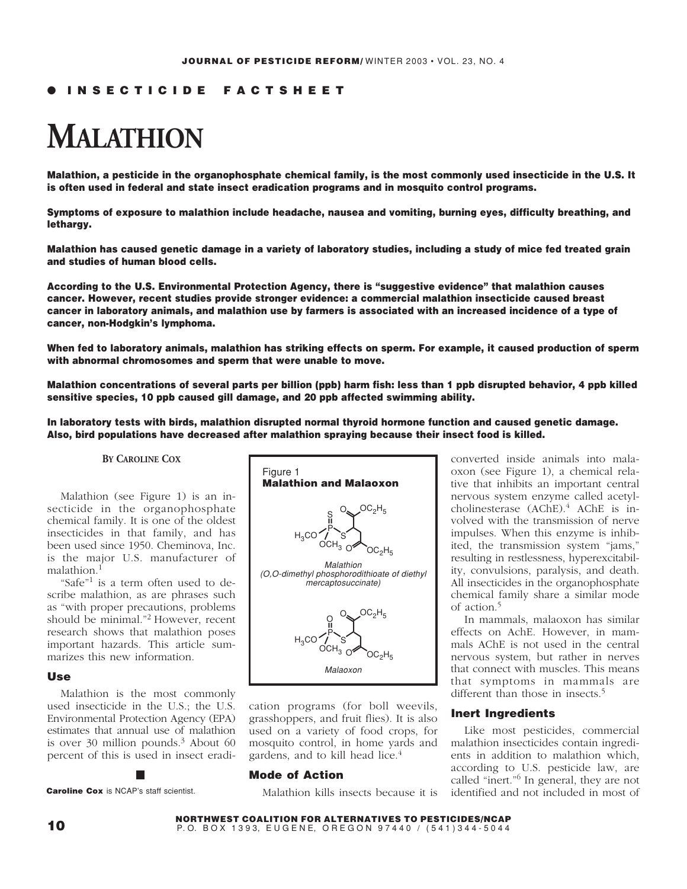# ● **INSECTICIDE FACTSHEET**

# **MALATHION**

**Malathion, a pesticide in the organophosphate chemical family, is the most commonly used insecticide in the U.S. It is often used in federal and state insect eradication programs and in mosquito control programs.**

**Symptoms of exposure to malathion include headache, nausea and vomiting, burning eyes, difficulty breathing, and lethargy.**

**Malathion has caused genetic damage in a variety of laboratory studies, including a study of mice fed treated grain and studies of human blood cells.**

**According to the U.S. Environmental Protection Agency, there is "suggestive evidence" that malathion causes cancer. However, recent studies provide stronger evidence: a commercial malathion insecticide caused breast cancer in laboratory animals, and malathion use by farmers is associated with an increased incidence of a type of cancer, non-Hodgkin's lymphoma.**

**When fed to laboratory animals, malathion has striking effects on sperm. For example, it caused production of sperm with abnormal chromosomes and sperm that were unable to move.**

**Malathion concentrations of several parts per billion (ppb) harm fish: less than 1 ppb disrupted behavior, 4 ppb killed sensitive species, 10 ppb caused gill damage, and 20 ppb affected swimming ability.**

**In laboratory tests with birds, malathion disrupted normal thyroid hormone function and caused genetic damage. Also, bird populations have decreased after malathion spraying because their insect food is killed.**

#### **BY CAROLINE COX**

Malathion (see Figure 1) is an insecticide in the organophosphate chemical family. It is one of the oldest insecticides in that family, and has been used since 1950. Cheminova, Inc. is the major U.S. manufacturer of malathion.<sup>1</sup>

"Safe"<sup>1</sup> is a term often used to describe malathion, as are phrases such as "with proper precautions, problems should be minimal."2 However, recent research shows that malathion poses important hazards. This article summarizes this new information.

#### **Use**

Malathion is the most commonly used insecticide in the U.S.; the U.S. Environmental Protection Agency (EPA) estimates that annual use of malathion is over  $30$  million pounds.<sup>3</sup> About 60 percent of this is used in insect eradi-

**Caroline Cox** is NCAP's staff scientist.



cation programs (for boll weevils, grasshoppers, and fruit flies). It is also used on a variety of food crops, for mosquito control, in home yards and gardens, and to kill head lice.<sup>4</sup>

## **Mode of Action**

Malathion kills insects because it is

converted inside animals into malaoxon (see Figure 1), a chemical relative that inhibits an important central nervous system enzyme called acetylcholinesterase (AChE).<sup>4</sup> AChE is involved with the transmission of nerve impulses. When this enzyme is inhibited, the transmission system "jams," resulting in restlessness, hyperexcitability, convulsions, paralysis, and death. All insecticides in the organophosphate chemical family share a similar mode of action.<sup>5</sup>

In mammals, malaoxon has similar effects on AchE. However, in mammals AChE is not used in the central nervous system, but rather in nerves that connect with muscles. This means that symptoms in mammals are different than those in insects.<sup>5</sup>

#### **Inert Ingredients**

Like most pesticides, commercial malathion insecticides contain ingredients in addition to malathion which, according to U.S. pesticide law, are called "inert."6 In general, they are not identified and not included in most of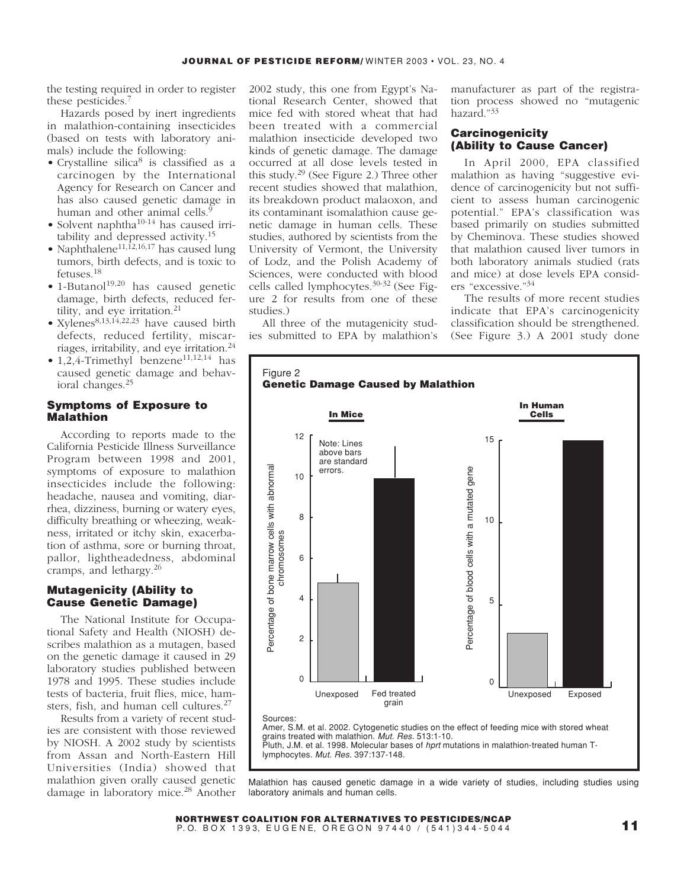the testing required in order to register these pesticides.<sup>7</sup>

Hazards posed by inert ingredients in malathion-containing insecticides (based on tests with laboratory animals) include the following:

- Crystalline silica<sup>8</sup> is classified as a carcinogen by the International Agency for Research on Cancer and has also caused genetic damage in human and other animal cells. $\frac{5}{5}$
- Solvent naphtha<sup>10-14</sup> has caused irritability and depressed activity.<sup>15</sup>
- Naphthalene<sup>11,12,16,17</sup> has caused lung tumors, birth defects, and is toxic to fetuses.<sup>18</sup>
- $\bullet$  1-Butanol<sup>19,20</sup> has caused genetic damage, birth defects, reduced fertility, and eye irritation.<sup>21</sup>
- Xylenes<sup>8,13,14,22,23</sup> have caused birth defects, reduced fertility, miscarriages, irritability, and eye irritation.24
- $1,2,4$ -Trimethyl benzene<sup>11,12,14</sup> has caused genetic damage and behavioral changes.<sup>25</sup>

#### **Symptoms of Exposure to Malathion**

According to reports made to the California Pesticide Illness Surveillance Program between 1998 and 2001, symptoms of exposure to malathion insecticides include the following: headache, nausea and vomiting, diarrhea, dizziness, burning or watery eyes, difficulty breathing or wheezing, weakness, irritated or itchy skin, exacerbation of asthma, sore or burning throat, pallor, lightheadedness, abdominal cramps, and lethargy.<sup>26</sup>

## **Mutagenicity (Ability to Cause Genetic Damage)**

The National Institute for Occupational Safety and Health (NIOSH) describes malathion as a mutagen, based on the genetic damage it caused in 29 laboratory studies published between 1978 and 1995. These studies include tests of bacteria, fruit flies, mice, hamsters, fish, and human cell cultures.<sup>27</sup>

Results from a variety of recent studies are consistent with those reviewed by NIOSH. A 2002 study by scientists from Assan and North-Eastern Hill Universities (India) showed that malathion given orally caused genetic damage in laboratory mice.<sup>28</sup> Another

2002 study, this one from Egypt's National Research Center, showed that mice fed with stored wheat that had been treated with a commercial malathion insecticide developed two kinds of genetic damage. The damage occurred at all dose levels tested in this study.29 (See Figure 2.) Three other recent studies showed that malathion, its breakdown product malaoxon, and its contaminant isomalathion cause genetic damage in human cells. These studies, authored by scientists from the University of Vermont, the University of Lodz, and the Polish Academy of Sciences, were conducted with blood cells called lymphocytes.30-32 (See Figure 2 for results from one of these studies.)

All three of the mutagenicity studies submitted to EPA by malathion's manufacturer as part of the registration process showed no "mutagenic hazard."<sup>33</sup>

## **Carcinogenicity (Ability to Cause Cancer)**

In April 2000, EPA classified malathion as having "suggestive evidence of carcinogenicity but not sufficient to assess human carcinogenic potential." EPA's classification was based primarily on studies submitted by Cheminova. These studies showed that malathion caused liver tumors in both laboratory animals studied (rats and mice) at dose levels EPA considers "excessive."<sup>34</sup>

The results of more recent studies indicate that EPA's carcinogenicity classification should be strengthened. (See Figure 3.) A 2001 study done



Malathion has caused genetic damage in a wide variety of studies, including studies using laboratory animals and human cells.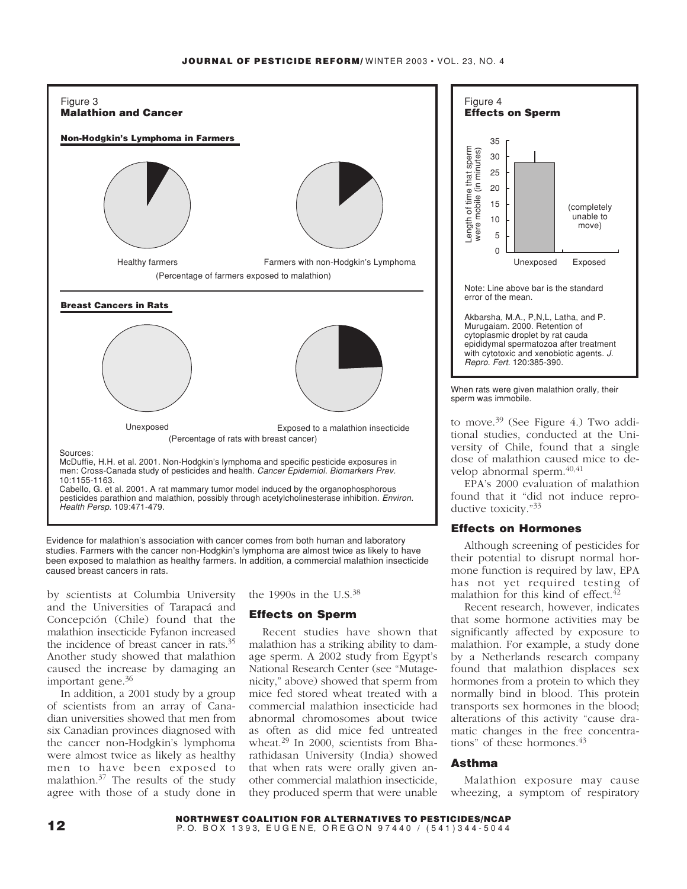

Evidence for malathion's association with cancer comes from both human and laboratory studies. Farmers with the cancer non-Hodgkin's lymphoma are almost twice as likely to have been exposed to malathion as healthy farmers. In addition, a commercial malathion insecticide caused breast cancers in rats.

by scientists at Columbia University and the Universities of Tarapacá and Concepción (Chile) found that the malathion insecticide Fyfanon increased the incidence of breast cancer in rats.35 Another study showed that malathion caused the increase by damaging an important gene.<sup>36</sup>

In addition, a 2001 study by a group of scientists from an array of Canadian universities showed that men from six Canadian provinces diagnosed with the cancer non-Hodgkin's lymphoma were almost twice as likely as healthy men to have been exposed to malathion.<sup>37</sup> The results of the study agree with those of a study done in the 1990s in the U.S. $38$ 

#### **Effects on Sperm**

Recent studies have shown that malathion has a striking ability to damage sperm. A 2002 study from Egypt's National Research Center (see "Mutagenicity," above) showed that sperm from mice fed stored wheat treated with a commercial malathion insecticide had abnormal chromosomes about twice as often as did mice fed untreated wheat.<sup>29</sup> In 2000, scientists from Bharathidasan University (India) showed that when rats were orally given another commercial malathion insecticide, they produced sperm that were unable



When rats were given malathion orally, their sperm was immobile.

to move.<sup>39</sup> (See Figure 4.) Two additional studies, conducted at the University of Chile, found that a single dose of malathion caused mice to develop abnormal sperm. $40,41$ 

EPA's 2000 evaluation of malathion found that it "did not induce reproductive toxicity."<sup>33</sup>

## **Effects on Hormones**

Although screening of pesticides for their potential to disrupt normal hormone function is required by law, EPA has not yet required testing of malathion for this kind of effect.<sup>4</sup>

Recent research, however, indicates that some hormone activities may be significantly affected by exposure to malathion. For example, a study done by a Netherlands research company found that malathion displaces sex hormones from a protein to which they normally bind in blood. This protein transports sex hormones in the blood; alterations of this activity "cause dramatic changes in the free concentrations" of these hormones.<sup>43</sup>

## **Asthma**

Malathion exposure may cause wheezing, a symptom of respiratory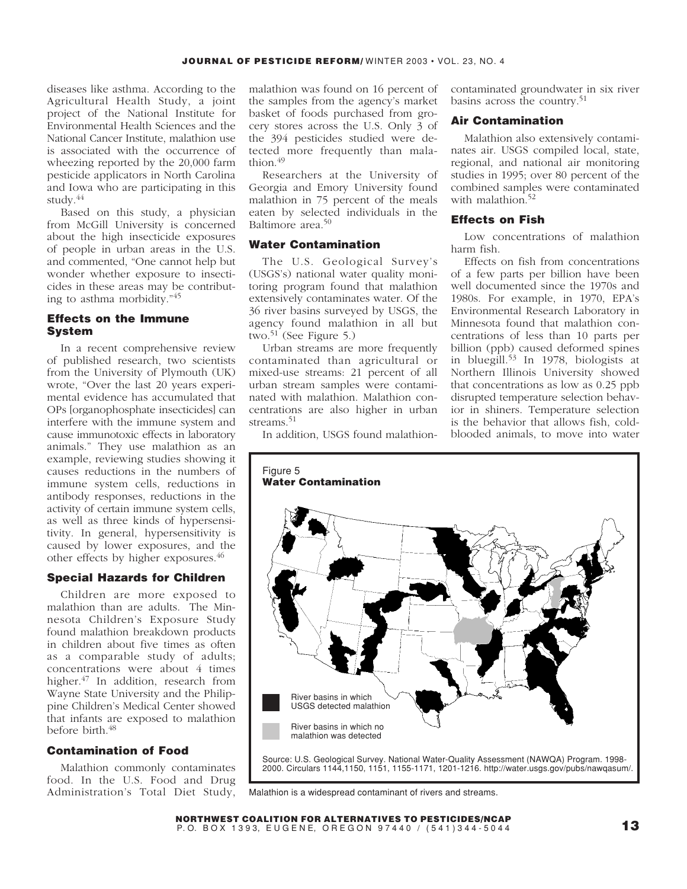diseases like asthma. According to the Agricultural Health Study, a joint project of the National Institute for Environmental Health Sciences and the National Cancer Institute, malathion use is associated with the occurrence of wheezing reported by the 20,000 farm pesticide applicators in North Carolina and Iowa who are participating in this study.<sup>44</sup>

Based on this study, a physician from McGill University is concerned about the high insecticide exposures of people in urban areas in the U.S. and commented, "One cannot help but wonder whether exposure to insecticides in these areas may be contributing to asthma morbidity."<sup>45</sup>

## **Effects on the Immune System**

In a recent comprehensive review of published research, two scientists from the University of Plymouth (UK) wrote, "Over the last 20 years experimental evidence has accumulated that OPs [organophosphate insecticides] can interfere with the immune system and cause immunotoxic effects in laboratory animals." They use malathion as an example, reviewing studies showing it causes reductions in the numbers of immune system cells, reductions in antibody responses, reductions in the activity of certain immune system cells, as well as three kinds of hypersensitivity. In general, hypersensitivity is caused by lower exposures, and the other effects by higher exposures.<sup>46</sup>

#### **Special Hazards for Children**

Children are more exposed to malathion than are adults. The Minnesota Children's Exposure Study found malathion breakdown products in children about five times as often as a comparable study of adults; concentrations were about 4 times higher.<sup>47</sup> In addition, research from Wayne State University and the Philippine Children's Medical Center showed that infants are exposed to malathion before birth.<sup>48</sup>

## **Contamination of Food**

Malathion commonly contaminates food. In the U.S. Food and Drug Administration's Total Diet Study,

malathion was found on 16 percent of the samples from the agency's market basket of foods purchased from grocery stores across the U.S. Only 3 of the 394 pesticides studied were detected more frequently than malathion.<sup>49</sup>

Researchers at the University of Georgia and Emory University found malathion in 75 percent of the meals eaten by selected individuals in the Baltimore area.<sup>50</sup>

## **Water Contamination**

The U.S. Geological Survey's (USGS's) national water quality monitoring program found that malathion extensively contaminates water. Of the 36 river basins surveyed by USGS, the agency found malathion in all but two.<sup>51</sup> (See Figure 5.)

Urban streams are more frequently contaminated than agricultural or mixed-use streams: 21 percent of all urban stream samples were contaminated with malathion. Malathion concentrations are also higher in urban streams.<sup>51</sup>

contaminated groundwater in six river basins across the country.<sup>51</sup>

#### **Air Contamination**

Malathion also extensively contaminates air. USGS compiled local, state, regional, and national air monitoring studies in 1995; over 80 percent of the combined samples were contaminated with malathion.<sup>52</sup>

## **Effects on Fish**

Low concentrations of malathion harm fish.

Effects on fish from concentrations of a few parts per billion have been well documented since the 1970s and 1980s. For example, in 1970, EPA's Environmental Research Laboratory in Minnesota found that malathion concentrations of less than 10 parts per billion (ppb) caused deformed spines in bluegill.<sup>53</sup> In 1978, biologists at Northern Illinois University showed that concentrations as low as 0.25 ppb disrupted temperature selection behavior in shiners. Temperature selection is the behavior that allows fish, coldblooded animals, to move into water

In addition, USGS found malathion-



Malathion is a widespread contaminant of rivers and streams.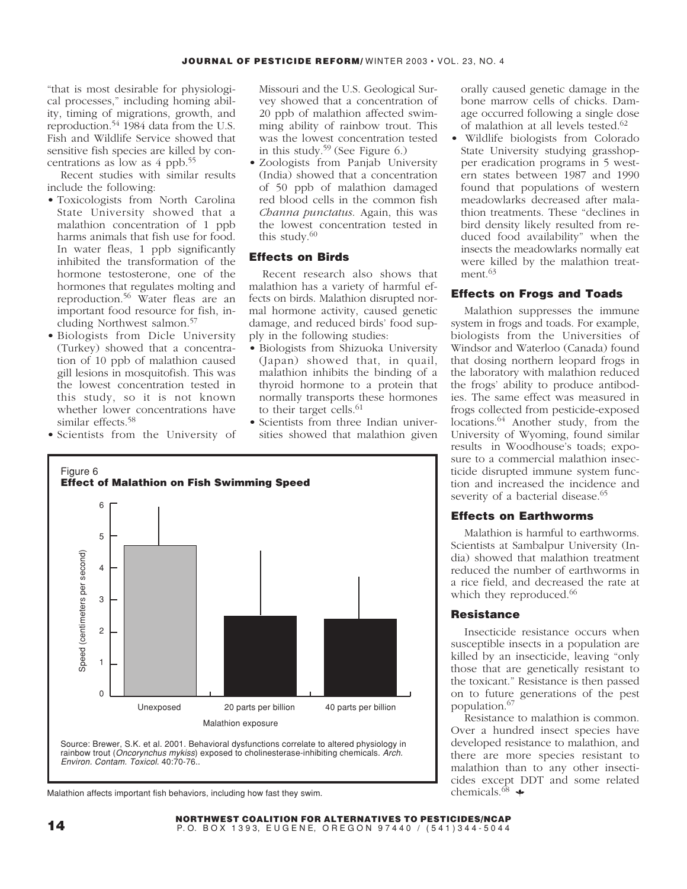"that is most desirable for physiological processes," including homing ability, timing of migrations, growth, and reproduction.54 1984 data from the U.S. Fish and Wildlife Service showed that sensitive fish species are killed by concentrations as low as 4 ppb.55

Recent studies with similar results include the following:

- Toxicologists from North Carolina State University showed that a malathion concentration of 1 ppb harms animals that fish use for food. In water fleas, 1 ppb significantly inhibited the transformation of the hormone testosterone, one of the hormones that regulates molting and reproduction.<sup>56</sup> Water fleas are an important food resource for fish, including Northwest salmon.57
- Biologists from Dicle University (Turkey) showed that a concentration of 10 ppb of malathion caused gill lesions in mosquitofish. This was the lowest concentration tested in this study, so it is not known whether lower concentrations have similar effects.<sup>58</sup>
- Scientists from the University of

Missouri and the U.S. Geological Survey showed that a concentration of 20 ppb of malathion affected swimming ability of rainbow trout. This was the lowest concentration tested in this study.<sup>59</sup> (See Figure  $6$ .)

• Zoologists from Panjab University (India) showed that a concentration of 50 ppb of malathion damaged red blood cells in the common fish *Channa punctatus*. Again, this was the lowest concentration tested in this study. $60$ 

## **Effects on Birds**

Recent research also shows that malathion has a variety of harmful effects on birds. Malathion disrupted normal hormone activity, caused genetic damage, and reduced birds' food supply in the following studies:

- Biologists from Shizuoka University (Japan) showed that, in quail, malathion inhibits the binding of a thyroid hormone to a protein that normally transports these hormones to their target cells.<sup>61</sup>
- Scientists from three Indian universities showed that malathion given





Malathion affects important fish behaviors, including how fast they swim.

orally caused genetic damage in the bone marrow cells of chicks. Damage occurred following a single dose of malathion at all levels tested.<sup>62</sup>

• Wildlife biologists from Colorado State University studying grasshopper eradication programs in 5 western states between 1987 and 1990 found that populations of western meadowlarks decreased after malathion treatments. These "declines in bird density likely resulted from reduced food availability" when the insects the meadowlarks normally eat were killed by the malathion treatment.<sup>63</sup>

## **Effects on Frogs and Toads**

Malathion suppresses the immune system in frogs and toads. For example, biologists from the Universities of Windsor and Waterloo (Canada) found that dosing northern leopard frogs in the laboratory with malathion reduced the frogs' ability to produce antibodies. The same effect was measured in frogs collected from pesticide-exposed locations.<sup>64</sup> Another study, from the University of Wyoming, found similar results in Woodhouse's toads; exposure to a commercial malathion insecticide disrupted immune system function and increased the incidence and severity of a bacterial disease.<sup>65</sup>

## **Effects on Earthworms**

Malathion is harmful to earthworms. Scientists at Sambalpur University (India) showed that malathion treatment reduced the number of earthworms in a rice field, and decreased the rate at which they reproduced.<sup>66</sup>

#### **Resistance**

Insecticide resistance occurs when susceptible insects in a population are killed by an insecticide, leaving "only those that are genetically resistant to the toxicant." Resistance is then passed on to future generations of the pest population.<sup>67</sup>

Resistance to malathion is common. Over a hundred insect species have developed resistance to malathion, and there are more species resistant to malathion than to any other insecticides except DDT and some related chemicals. $68$   $\bullet$